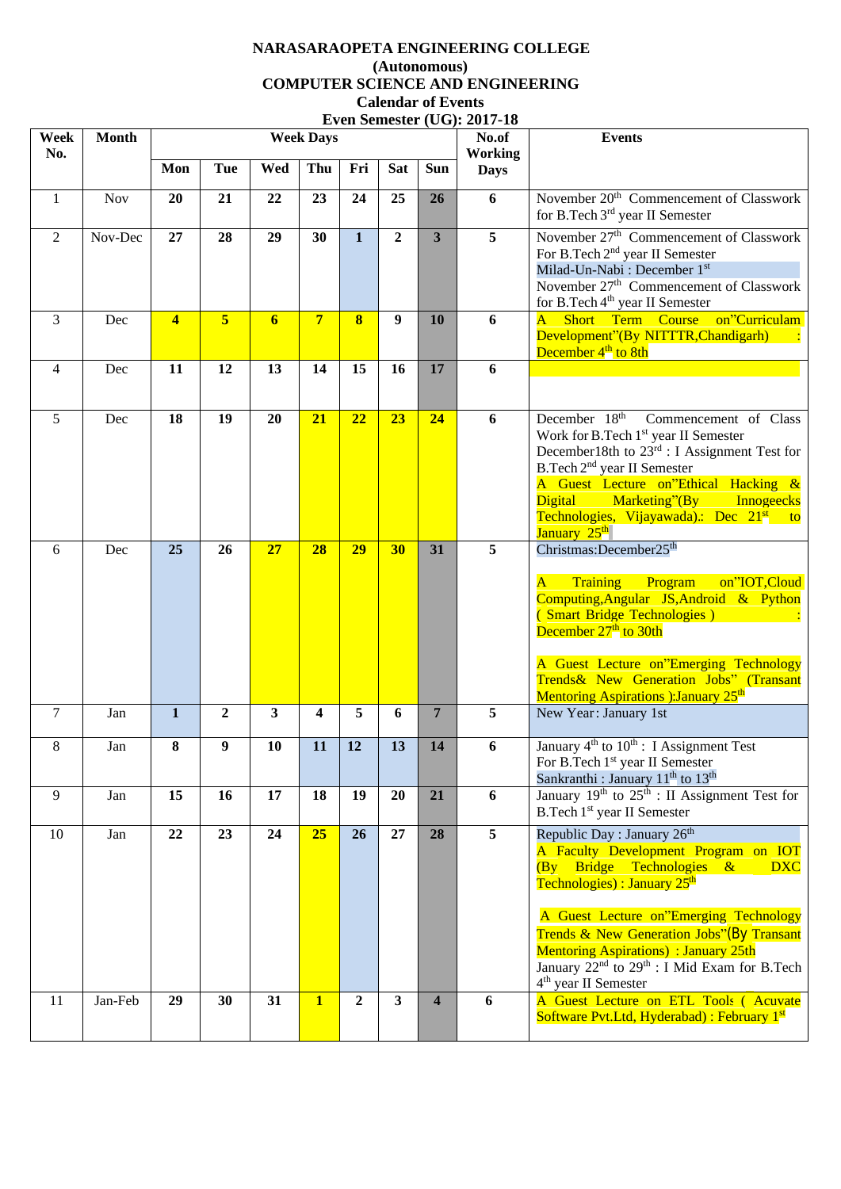## **NARASARAOPETA ENGINEERING COLLEGE (Autonomous) COMPUTER SCIENCE AND ENGINEERING Calendar of Events Even Semester (UG): 2017-18**

| Week<br>No.    | <b>Month</b> | EVEII SEIHESIET (UG); $\angle 01$ /-10<br><b>Week Days</b> |              |                         |                         |                |                         |                         | No.of                         | <b>Events</b>                                                                                                                                                                                                                                                                                                                                                                                                                   |
|----------------|--------------|------------------------------------------------------------|--------------|-------------------------|-------------------------|----------------|-------------------------|-------------------------|-------------------------------|---------------------------------------------------------------------------------------------------------------------------------------------------------------------------------------------------------------------------------------------------------------------------------------------------------------------------------------------------------------------------------------------------------------------------------|
|                |              | Mon                                                        | <b>Tue</b>   | Wed                     | Thu                     | Fri            | <b>Sat</b>              | <b>Sun</b>              | <b>Working</b><br><b>Days</b> |                                                                                                                                                                                                                                                                                                                                                                                                                                 |
| $\mathbf{1}$   | Nov          | 20                                                         | 21           | 22                      | 23                      | 24             | 25                      | 26                      | 6                             | November 20 <sup>th</sup> Commencement of Classwork<br>for B.Tech 3 <sup>rd</sup> year II Semester                                                                                                                                                                                                                                                                                                                              |
| 2              | Nov-Dec      | 27                                                         | 28           | 29                      | 30                      | $\mathbf{1}$   | $\mathbf{2}$            | $\overline{\mathbf{3}}$ | 5                             | November 27 <sup>th</sup> Commencement of Classwork<br>For B.Tech 2 <sup>nd</sup> year II Semester<br>Milad-Un-Nabi: December 1st<br>November 27 <sup>th</sup> Commencement of Classwork<br>for B.Tech 4 <sup>th</sup> year II Semester                                                                                                                                                                                         |
| 3              | Dec          | $\overline{\mathbf{4}}$                                    | 5            | 6                       | $7\overline{ }$         | 8              | 9                       | 10                      | 6                             | A Short Term Course on"Curriculam<br>Development"(By NITTTR, Chandigarh)<br>December 4 <sup>th</sup> to 8th                                                                                                                                                                                                                                                                                                                     |
| $\overline{4}$ | Dec          | 11                                                         | 12           | 13                      | 14                      | 15             | 16                      | 17                      | 6                             |                                                                                                                                                                                                                                                                                                                                                                                                                                 |
| 5              | Dec          | 18                                                         | 19           | 20                      | 21                      | 22             | 23                      | 24                      | 6                             | December 18 <sup>th</sup> Commencement of Class<br>Work for B.Tech 1 <sup>st</sup> year II Semester<br>December18th to 23rd : I Assignment Test for<br>B.Tech 2 <sup>nd</sup> year II Semester<br>A Guest Lecture on"Ethical Hacking &<br>Digital Marketing"(By Innogeecks<br>Technologies, Vijayawada).: Dec 21 <sup>st</sup> to<br>January 25 <sup>th</sup>                                                                   |
| 6              | Dec          | 25                                                         | 26           | 27                      | 28                      | 29             | 30                      | 31                      | 5                             | Christmas:December25 <sup>th</sup><br>Training<br>on"IOT,Cloud<br>Program<br>$\mathbf{A}$<br>Computing, Angular JS, Android & Python<br>(Smart Bridge Technologies)<br>December 27 <sup>th</sup> to 30th<br>A Guest Lecture on"Emerging Technology<br>Trends& New Generation Jobs" (Transant<br>Mentoring Aspirations ): January 25 <sup>th</sup>                                                                               |
| $\tau$         | Jan          | $\mathbf{1}$                                               | $\mathbf{2}$ | $\overline{\mathbf{3}}$ | $\overline{\mathbf{4}}$ | 5              | 6                       | $\overline{7}$          | 5                             | New Year: January 1st                                                                                                                                                                                                                                                                                                                                                                                                           |
| 8              | Jan          | 8                                                          | 9            | 10                      | 11                      | 12             | 13                      | 14                      | 6                             | January 4 <sup>th</sup> to 10 <sup>th</sup> : I Assignment Test<br>For B.Tech 1 <sup>st</sup> year II Semester<br>Sankranthi : January 11 <sup>th</sup> to 13 <sup>th</sup>                                                                                                                                                                                                                                                     |
| 9              | Jan          | 15                                                         | 16           | 17                      | 18                      | 19             | 20                      | 21                      | 6                             | January $19th$ to $25th$ : II Assignment Test for<br>B.Tech 1 <sup>st</sup> year II Semester                                                                                                                                                                                                                                                                                                                                    |
| 10             | Jan          | 22                                                         | 23           | 24                      | 25                      | 26             | 27                      | 28                      | 5                             | Republic Day : January $26th$<br>A Faculty Development Program on IOT<br>$(By)$ Bridge Technologies &<br><b>DXC</b><br>Technologies) : January 25 <sup>th</sup><br>A Guest Lecture on"Emerging Technology<br><b>Trends &amp; New Generation Jobs"</b> (By Transant<br><b>Mentoring Aspirations</b> ) : January 25th<br>January 22 <sup>nd</sup> to 29 <sup>th</sup> : I Mid Exam for B.Tech<br>4 <sup>th</sup> year II Semester |
| 11             | Jan-Feb      | 29                                                         | 30           | 31                      | $\overline{1}$          | $\overline{2}$ | $\overline{\mathbf{3}}$ | $\overline{\mathbf{4}}$ | 6                             | A Guest Lecture on ETL Tools (Acuvate<br>Software Pvt.Ltd, Hyderabad) : February 1 <sup>st</sup>                                                                                                                                                                                                                                                                                                                                |